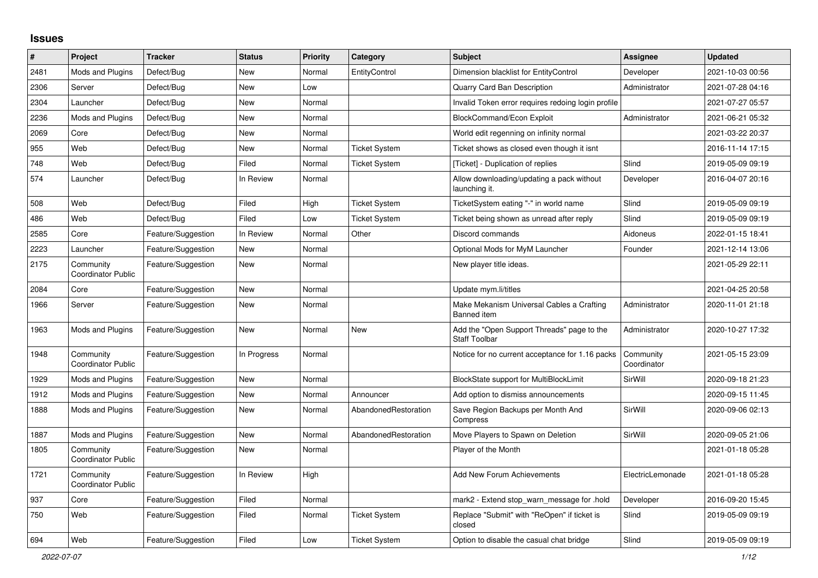## **Issues**

| $\pmb{\#}$ | Project                                | <b>Tracker</b>     | <b>Status</b> | <b>Priority</b> | <b>Category</b>      | <b>Subject</b>                                                     | Assignee                 | <b>Updated</b>   |
|------------|----------------------------------------|--------------------|---------------|-----------------|----------------------|--------------------------------------------------------------------|--------------------------|------------------|
| 2481       | Mods and Plugins                       | Defect/Bug         | <b>New</b>    | Normal          | EntityControl        | Dimension blacklist for EntityControl                              | Developer                | 2021-10-03 00:56 |
| 2306       | Server                                 | Defect/Bug         | <b>New</b>    | Low             |                      | Quarry Card Ban Description                                        | Administrator            | 2021-07-28 04:16 |
| 2304       | Launcher                               | Defect/Bug         | <b>New</b>    | Normal          |                      | Invalid Token error requires redoing login profile                 |                          | 2021-07-27 05:57 |
| 2236       | Mods and Plugins                       | Defect/Bug         | New           | Normal          |                      | <b>BlockCommand/Econ Exploit</b>                                   | Administrator            | 2021-06-21 05:32 |
| 2069       | Core                                   | Defect/Bug         | <b>New</b>    | Normal          |                      | World edit regenning on infinity normal                            |                          | 2021-03-22 20:37 |
| 955        | Web                                    | Defect/Bug         | <b>New</b>    | Normal          | <b>Ticket System</b> | Ticket shows as closed even though it isnt                         |                          | 2016-11-14 17:15 |
| 748        | Web                                    | Defect/Bug         | Filed         | Normal          | <b>Ticket System</b> | [Ticket] - Duplication of replies                                  | Slind                    | 2019-05-09 09:19 |
| 574        | Launcher                               | Defect/Bug         | In Review     | Normal          |                      | Allow downloading/updating a pack without<br>launching it.         | Developer                | 2016-04-07 20:16 |
| 508        | Web                                    | Defect/Bug         | Filed         | High            | <b>Ticket System</b> | TicketSystem eating "-" in world name                              | Slind                    | 2019-05-09 09:19 |
| 486        | Web                                    | Defect/Bug         | Filed         | Low             | <b>Ticket System</b> | Ticket being shown as unread after reply                           | Slind                    | 2019-05-09 09:19 |
| 2585       | Core                                   | Feature/Suggestion | In Review     | Normal          | Other                | Discord commands                                                   | Aidoneus                 | 2022-01-15 18:41 |
| 2223       | Launcher                               | Feature/Suggestion | New           | Normal          |                      | Optional Mods for MyM Launcher                                     | Founder                  | 2021-12-14 13:06 |
| 2175       | Community<br><b>Coordinator Public</b> | Feature/Suggestion | <b>New</b>    | Normal          |                      | New player title ideas.                                            |                          | 2021-05-29 22:11 |
| 2084       | Core                                   | Feature/Suggestion | <b>New</b>    | Normal          |                      | Update mym.li/titles                                               |                          | 2021-04-25 20:58 |
| 1966       | Server                                 | Feature/Suggestion | <b>New</b>    | Normal          |                      | Make Mekanism Universal Cables a Crafting<br>Banned item           | Administrator            | 2020-11-01 21:18 |
| 1963       | Mods and Plugins                       | Feature/Suggestion | <b>New</b>    | Normal          | <b>New</b>           | Add the "Open Support Threads" page to the<br><b>Staff Toolbar</b> | Administrator            | 2020-10-27 17:32 |
| 1948       | Community<br><b>Coordinator Public</b> | Feature/Suggestion | In Progress   | Normal          |                      | Notice for no current acceptance for 1.16 packs                    | Community<br>Coordinator | 2021-05-15 23:09 |
| 1929       | Mods and Plugins                       | Feature/Suggestion | <b>New</b>    | Normal          |                      | BlockState support for MultiBlockLimit                             | SirWill                  | 2020-09-18 21:23 |
| 1912       | Mods and Plugins                       | Feature/Suggestion | <b>New</b>    | Normal          | Announcer            | Add option to dismiss announcements                                |                          | 2020-09-15 11:45 |
| 1888       | Mods and Plugins                       | Feature/Suggestion | New           | Normal          | AbandonedRestoration | Save Region Backups per Month And<br>Compress                      | SirWill                  | 2020-09-06 02:13 |
| 1887       | Mods and Plugins                       | Feature/Suggestion | <b>New</b>    | Normal          | AbandonedRestoration | Move Players to Spawn on Deletion                                  | SirWill                  | 2020-09-05 21:06 |
| 1805       | Community<br>Coordinator Public        | Feature/Suggestion | New           | Normal          |                      | Player of the Month                                                |                          | 2021-01-18 05:28 |
| 1721       | Community<br>Coordinator Public        | Feature/Suggestion | In Review     | High            |                      | Add New Forum Achievements                                         | ElectricLemonade         | 2021-01-18 05:28 |
| 937        | Core                                   | Feature/Suggestion | Filed         | Normal          |                      | mark2 - Extend stop_warn_message for .hold                         | Developer                | 2016-09-20 15:45 |
| 750        | Web                                    | Feature/Suggestion | Filed         | Normal          | <b>Ticket System</b> | Replace "Submit" with "ReOpen" if ticket is<br>closed              | Slind                    | 2019-05-09 09:19 |
| 694        | Web                                    | Feature/Suggestion | Filed         | Low             | <b>Ticket System</b> | Option to disable the casual chat bridge                           | Slind                    | 2019-05-09 09:19 |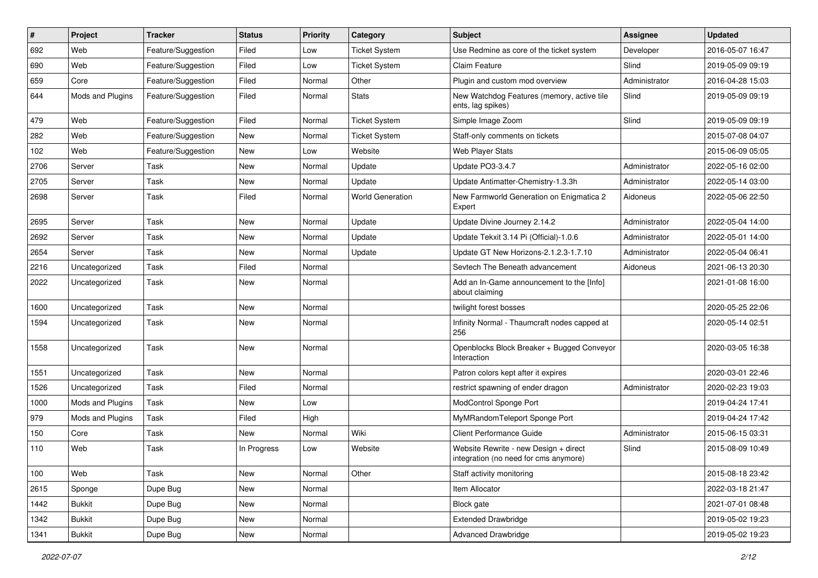| $\#$ | Project          | <b>Tracker</b>     | <b>Status</b> | <b>Priority</b> | Category                | Subject                                                                        | <b>Assignee</b> | <b>Updated</b>   |
|------|------------------|--------------------|---------------|-----------------|-------------------------|--------------------------------------------------------------------------------|-----------------|------------------|
| 692  | Web              | Feature/Suggestion | Filed         | Low             | <b>Ticket System</b>    | Use Redmine as core of the ticket system                                       | Developer       | 2016-05-07 16:47 |
| 690  | Web              | Feature/Suggestion | Filed         | Low             | <b>Ticket System</b>    | <b>Claim Feature</b>                                                           | Slind           | 2019-05-09 09:19 |
| 659  | Core             | Feature/Suggestion | Filed         | Normal          | Other                   | Plugin and custom mod overview                                                 | Administrator   | 2016-04-28 15:03 |
| 644  | Mods and Plugins | Feature/Suggestion | Filed         | Normal          | <b>Stats</b>            | New Watchdog Features (memory, active tile<br>ents, lag spikes)                | Slind           | 2019-05-09 09:19 |
| 479  | Web              | Feature/Suggestion | Filed         | Normal          | <b>Ticket System</b>    | Simple Image Zoom                                                              | Slind           | 2019-05-09 09:19 |
| 282  | Web              | Feature/Suggestion | New           | Normal          | <b>Ticket System</b>    | Staff-only comments on tickets                                                 |                 | 2015-07-08 04:07 |
| 102  | Web              | Feature/Suggestion | New           | Low             | Website                 | Web Player Stats                                                               |                 | 2015-06-09 05:05 |
| 2706 | Server           | Task               | New           | Normal          | Update                  | Update PO3-3.4.7                                                               | Administrator   | 2022-05-16 02:00 |
| 2705 | Server           | Task               | New           | Normal          | Update                  | Update Antimatter-Chemistry-1.3.3h                                             | Administrator   | 2022-05-14 03:00 |
| 2698 | Server           | Task               | Filed         | Normal          | <b>World Generation</b> | New Farmworld Generation on Enigmatica 2<br>Expert                             | Aidoneus        | 2022-05-06 22:50 |
| 2695 | Server           | Task               | New           | Normal          | Update                  | Update Divine Journey 2.14.2                                                   | Administrator   | 2022-05-04 14:00 |
| 2692 | Server           | Task               | New           | Normal          | Update                  | Update Tekxit 3.14 Pi (Official)-1.0.6                                         | Administrator   | 2022-05-01 14:00 |
| 2654 | Server           | Task               | New           | Normal          | Update                  | Update GT New Horizons-2.1.2.3-1.7.10                                          | Administrator   | 2022-05-04 06:41 |
| 2216 | Uncategorized    | Task               | Filed         | Normal          |                         | Sevtech The Beneath advancement                                                | Aidoneus        | 2021-06-13 20:30 |
| 2022 | Uncategorized    | Task               | New           | Normal          |                         | Add an In-Game announcement to the [Info]<br>about claiming                    |                 | 2021-01-08 16:00 |
| 1600 | Uncategorized    | Task               | New           | Normal          |                         | twilight forest bosses                                                         |                 | 2020-05-25 22:06 |
| 1594 | Uncategorized    | Task               | New           | Normal          |                         | Infinity Normal - Thaumcraft nodes capped at<br>256                            |                 | 2020-05-14 02:51 |
| 1558 | Uncategorized    | Task               | New           | Normal          |                         | Openblocks Block Breaker + Bugged Conveyor<br>Interaction                      |                 | 2020-03-05 16:38 |
| 1551 | Uncategorized    | Task               | New           | Normal          |                         | Patron colors kept after it expires                                            |                 | 2020-03-01 22:46 |
| 1526 | Uncategorized    | Task               | Filed         | Normal          |                         | restrict spawning of ender dragon                                              | Administrator   | 2020-02-23 19:03 |
| 1000 | Mods and Plugins | Task               | New           | Low             |                         | ModControl Sponge Port                                                         |                 | 2019-04-24 17:41 |
| 979  | Mods and Plugins | Task               | Filed         | High            |                         | MyMRandomTeleport Sponge Port                                                  |                 | 2019-04-24 17:42 |
| 150  | Core             | Task               | New           | Normal          | Wiki                    | <b>Client Performance Guide</b>                                                | Administrator   | 2015-06-15 03:31 |
| 110  | Web              | Task               | In Progress   | Low             | Website                 | Website Rewrite - new Design + direct<br>integration (no need for cms anymore) | Slind           | 2015-08-09 10:49 |
| 100  | Web              | Task               | New           | Normal          | Other                   | Staff activity monitoring                                                      |                 | 2015-08-18 23:42 |
| 2615 | Sponge           | Dupe Bug           | New           | Normal          |                         | Item Allocator                                                                 |                 | 2022-03-18 21:47 |
| 1442 | Bukkit           | Dupe Bug           | New           | Normal          |                         | Block gate                                                                     |                 | 2021-07-01 08:48 |
| 1342 | <b>Bukkit</b>    | Dupe Bug           | New           | Normal          |                         | <b>Extended Drawbridge</b>                                                     |                 | 2019-05-02 19:23 |
| 1341 | Bukkit           | Dupe Bug           | New           | Normal          |                         | <b>Advanced Drawbridge</b>                                                     |                 | 2019-05-02 19:23 |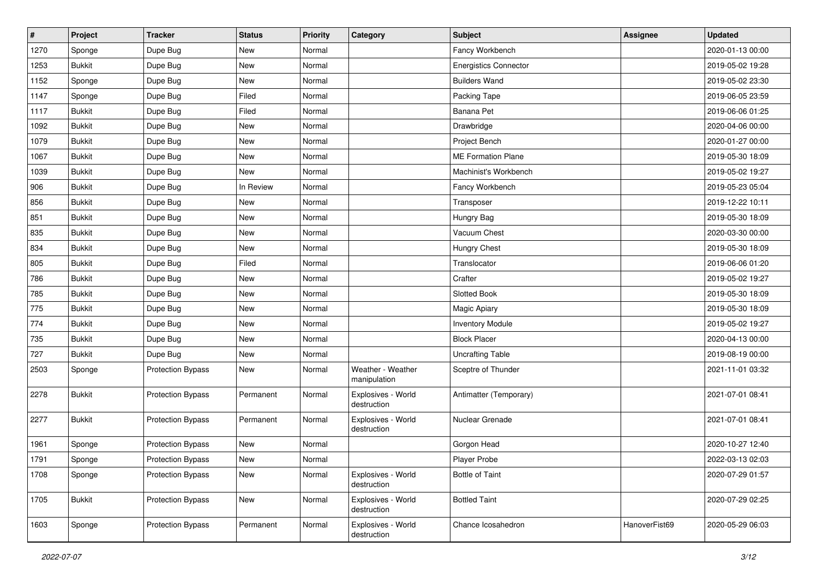| $\vert$ # | Project       | <b>Tracker</b>           | <b>Status</b> | <b>Priority</b> | Category                          | <b>Subject</b>               | <b>Assignee</b> | <b>Updated</b>   |
|-----------|---------------|--------------------------|---------------|-----------------|-----------------------------------|------------------------------|-----------------|------------------|
| 1270      | Sponge        | Dupe Bug                 | New           | Normal          |                                   | Fancy Workbench              |                 | 2020-01-13 00:00 |
| 1253      | <b>Bukkit</b> | Dupe Bug                 | New           | Normal          |                                   | <b>Energistics Connector</b> |                 | 2019-05-02 19:28 |
| 1152      | Sponge        | Dupe Bug                 | New           | Normal          |                                   | <b>Builders Wand</b>         |                 | 2019-05-02 23:30 |
| 1147      | Sponge        | Dupe Bug                 | Filed         | Normal          |                                   | Packing Tape                 |                 | 2019-06-05 23:59 |
| 1117      | <b>Bukkit</b> | Dupe Bug                 | Filed         | Normal          |                                   | Banana Pet                   |                 | 2019-06-06 01:25 |
| 1092      | <b>Bukkit</b> | Dupe Bug                 | New           | Normal          |                                   | Drawbridge                   |                 | 2020-04-06 00:00 |
| 1079      | <b>Bukkit</b> | Dupe Bug                 | New           | Normal          |                                   | Project Bench                |                 | 2020-01-27 00:00 |
| 1067      | <b>Bukkit</b> | Dupe Bug                 | New           | Normal          |                                   | <b>ME Formation Plane</b>    |                 | 2019-05-30 18:09 |
| 1039      | <b>Bukkit</b> | Dupe Bug                 | New           | Normal          |                                   | Machinist's Workbench        |                 | 2019-05-02 19:27 |
| 906       | <b>Bukkit</b> | Dupe Bug                 | In Review     | Normal          |                                   | Fancy Workbench              |                 | 2019-05-23 05:04 |
| 856       | <b>Bukkit</b> | Dupe Bug                 | New           | Normal          |                                   | Transposer                   |                 | 2019-12-22 10:11 |
| 851       | <b>Bukkit</b> | Dupe Bug                 | New           | Normal          |                                   | Hungry Bag                   |                 | 2019-05-30 18:09 |
| 835       | <b>Bukkit</b> | Dupe Bug                 | New           | Normal          |                                   | Vacuum Chest                 |                 | 2020-03-30 00:00 |
| 834       | <b>Bukkit</b> | Dupe Bug                 | New           | Normal          |                                   | <b>Hungry Chest</b>          |                 | 2019-05-30 18:09 |
| 805       | <b>Bukkit</b> | Dupe Bug                 | Filed         | Normal          |                                   | Translocator                 |                 | 2019-06-06 01:20 |
| 786       | <b>Bukkit</b> | Dupe Bug                 | New           | Normal          |                                   | Crafter                      |                 | 2019-05-02 19:27 |
| 785       | <b>Bukkit</b> | Dupe Bug                 | New           | Normal          |                                   | Slotted Book                 |                 | 2019-05-30 18:09 |
| 775       | <b>Bukkit</b> | Dupe Bug                 | New           | Normal          |                                   | Magic Apiary                 |                 | 2019-05-30 18:09 |
| 774       | <b>Bukkit</b> | Dupe Bug                 | New           | Normal          |                                   | <b>Inventory Module</b>      |                 | 2019-05-02 19:27 |
| 735       | <b>Bukkit</b> | Dupe Bug                 | New           | Normal          |                                   | <b>Block Placer</b>          |                 | 2020-04-13 00:00 |
| 727       | <b>Bukkit</b> | Dupe Bug                 | New           | Normal          |                                   | <b>Uncrafting Table</b>      |                 | 2019-08-19 00:00 |
| 2503      | Sponge        | <b>Protection Bypass</b> | New           | Normal          | Weather - Weather<br>manipulation | Sceptre of Thunder           |                 | 2021-11-01 03:32 |
| 2278      | <b>Bukkit</b> | <b>Protection Bypass</b> | Permanent     | Normal          | Explosives - World<br>destruction | Antimatter (Temporary)       |                 | 2021-07-01 08:41 |
| 2277      | <b>Bukkit</b> | <b>Protection Bypass</b> | Permanent     | Normal          | Explosives - World<br>destruction | Nuclear Grenade              |                 | 2021-07-01 08:41 |
| 1961      | Sponge        | <b>Protection Bypass</b> | New           | Normal          |                                   | Gorgon Head                  |                 | 2020-10-27 12:40 |
| 1791      | Sponge        | Protection Bypass        | New           | Normal          |                                   | Player Probe                 |                 | 2022-03-13 02:03 |
| 1708      | Sponge        | <b>Protection Bypass</b> | New           | Normal          | Explosives - World<br>destruction | <b>Bottle of Taint</b>       |                 | 2020-07-29 01:57 |
| 1705      | <b>Bukkit</b> | <b>Protection Bypass</b> | New           | Normal          | Explosives - World<br>destruction | <b>Bottled Taint</b>         |                 | 2020-07-29 02:25 |
| 1603      | Sponge        | <b>Protection Bypass</b> | Permanent     | Normal          | Explosives - World<br>destruction | Chance Icosahedron           | HanoverFist69   | 2020-05-29 06:03 |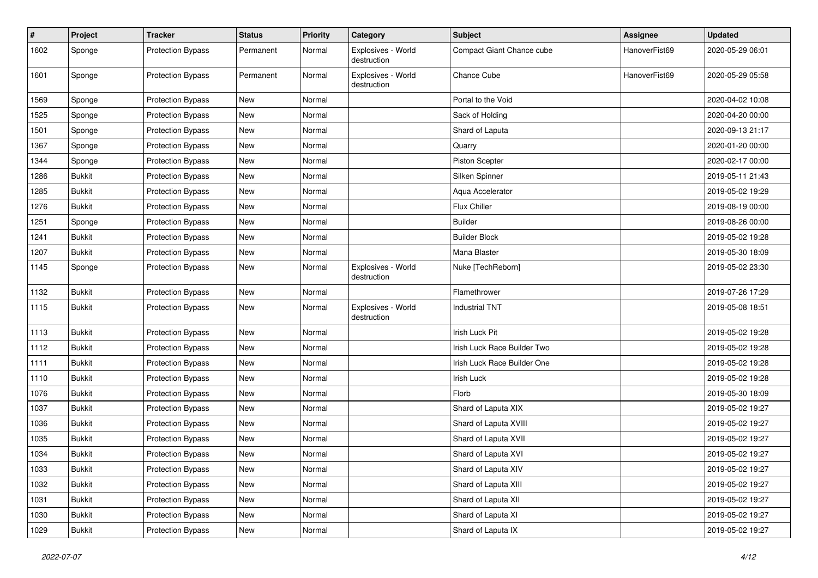| $\pmb{\#}$ | Project       | <b>Tracker</b>           | <b>Status</b> | <b>Priority</b> | Category                          | Subject                     | <b>Assignee</b> | <b>Updated</b>   |
|------------|---------------|--------------------------|---------------|-----------------|-----------------------------------|-----------------------------|-----------------|------------------|
| 1602       | Sponge        | <b>Protection Bypass</b> | Permanent     | Normal          | Explosives - World<br>destruction | Compact Giant Chance cube   | HanoverFist69   | 2020-05-29 06:01 |
| 1601       | Sponge        | <b>Protection Bypass</b> | Permanent     | Normal          | Explosives - World<br>destruction | Chance Cube                 | HanoverFist69   | 2020-05-29 05:58 |
| 1569       | Sponge        | <b>Protection Bypass</b> | New           | Normal          |                                   | Portal to the Void          |                 | 2020-04-02 10:08 |
| 1525       | Sponge        | <b>Protection Bypass</b> | New           | Normal          |                                   | Sack of Holding             |                 | 2020-04-20 00:00 |
| 1501       | Sponge        | <b>Protection Bypass</b> | New           | Normal          |                                   | Shard of Laputa             |                 | 2020-09-13 21:17 |
| 1367       | Sponge        | <b>Protection Bypass</b> | New           | Normal          |                                   | Quarry                      |                 | 2020-01-20 00:00 |
| 1344       | Sponge        | <b>Protection Bypass</b> | New           | Normal          |                                   | Piston Scepter              |                 | 2020-02-17 00:00 |
| 1286       | <b>Bukkit</b> | <b>Protection Bypass</b> | New           | Normal          |                                   | Silken Spinner              |                 | 2019-05-11 21:43 |
| 1285       | <b>Bukkit</b> | <b>Protection Bypass</b> | New           | Normal          |                                   | Aqua Accelerator            |                 | 2019-05-02 19:29 |
| 1276       | <b>Bukkit</b> | <b>Protection Bypass</b> | New           | Normal          |                                   | Flux Chiller                |                 | 2019-08-19 00:00 |
| 1251       | Sponge        | <b>Protection Bypass</b> | New           | Normal          |                                   | <b>Builder</b>              |                 | 2019-08-26 00:00 |
| 1241       | <b>Bukkit</b> | <b>Protection Bypass</b> | New           | Normal          |                                   | <b>Builder Block</b>        |                 | 2019-05-02 19:28 |
| 1207       | <b>Bukkit</b> | <b>Protection Bypass</b> | New           | Normal          |                                   | Mana Blaster                |                 | 2019-05-30 18:09 |
| 1145       | Sponge        | <b>Protection Bypass</b> | New           | Normal          | Explosives - World<br>destruction | Nuke [TechReborn]           |                 | 2019-05-02 23:30 |
| 1132       | <b>Bukkit</b> | <b>Protection Bypass</b> | New           | Normal          |                                   | Flamethrower                |                 | 2019-07-26 17:29 |
| 1115       | <b>Bukkit</b> | <b>Protection Bypass</b> | New           | Normal          | Explosives - World<br>destruction | <b>Industrial TNT</b>       |                 | 2019-05-08 18:51 |
| 1113       | <b>Bukkit</b> | <b>Protection Bypass</b> | New           | Normal          |                                   | Irish Luck Pit              |                 | 2019-05-02 19:28 |
| 1112       | <b>Bukkit</b> | <b>Protection Bypass</b> | New           | Normal          |                                   | Irish Luck Race Builder Two |                 | 2019-05-02 19:28 |
| 1111       | <b>Bukkit</b> | <b>Protection Bypass</b> | New           | Normal          |                                   | Irish Luck Race Builder One |                 | 2019-05-02 19:28 |
| 1110       | <b>Bukkit</b> | <b>Protection Bypass</b> | New           | Normal          |                                   | Irish Luck                  |                 | 2019-05-02 19:28 |
| 1076       | <b>Bukkit</b> | <b>Protection Bypass</b> | New           | Normal          |                                   | Florb                       |                 | 2019-05-30 18:09 |
| 1037       | <b>Bukkit</b> | <b>Protection Bypass</b> | New           | Normal          |                                   | Shard of Laputa XIX         |                 | 2019-05-02 19:27 |
| 1036       | <b>Bukkit</b> | <b>Protection Bypass</b> | New           | Normal          |                                   | Shard of Laputa XVIII       |                 | 2019-05-02 19:27 |
| 1035       | <b>Bukkit</b> | <b>Protection Bypass</b> | New           | Normal          |                                   | Shard of Laputa XVII        |                 | 2019-05-02 19:27 |
| 1034       | <b>Bukkit</b> | <b>Protection Bypass</b> | New           | Normal          |                                   | Shard of Laputa XVI         |                 | 2019-05-02 19:27 |
| 1033       | <b>Bukkit</b> | <b>Protection Bypass</b> | New           | Normal          |                                   | Shard of Laputa XIV         |                 | 2019-05-02 19:27 |
| 1032       | <b>Bukkit</b> | <b>Protection Bypass</b> | New           | Normal          |                                   | Shard of Laputa XIII        |                 | 2019-05-02 19:27 |
| 1031       | Bukkit        | <b>Protection Bypass</b> | New           | Normal          |                                   | Shard of Laputa XII         |                 | 2019-05-02 19:27 |
| 1030       | <b>Bukkit</b> | <b>Protection Bypass</b> | New           | Normal          |                                   | Shard of Laputa XI          |                 | 2019-05-02 19:27 |
| 1029       | <b>Bukkit</b> | Protection Bypass        | New           | Normal          |                                   | Shard of Laputa IX          |                 | 2019-05-02 19:27 |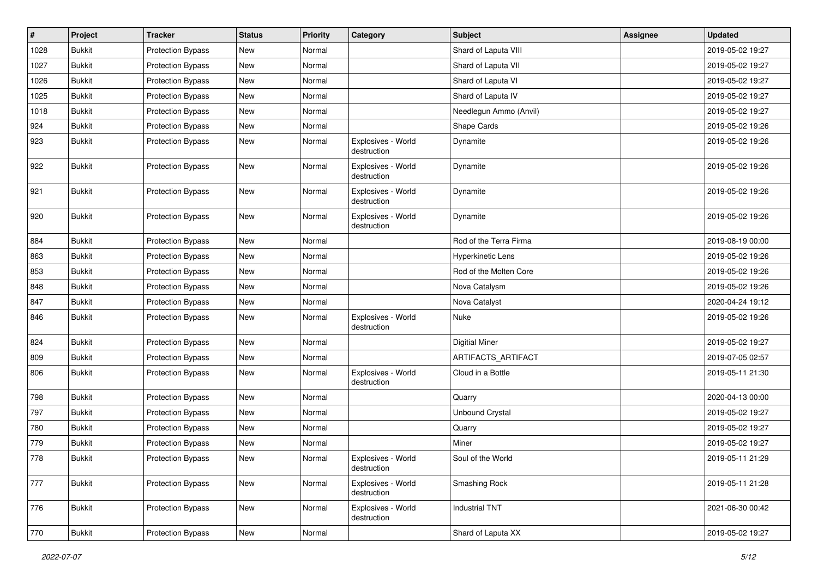| $\vert$ # | Project       | <b>Tracker</b>           | <b>Status</b> | <b>Priority</b> | Category                          | Subject                  | <b>Assignee</b> | <b>Updated</b>   |
|-----------|---------------|--------------------------|---------------|-----------------|-----------------------------------|--------------------------|-----------------|------------------|
| 1028      | <b>Bukkit</b> | <b>Protection Bypass</b> | New           | Normal          |                                   | Shard of Laputa VIII     |                 | 2019-05-02 19:27 |
| 1027      | <b>Bukkit</b> | <b>Protection Bypass</b> | New           | Normal          |                                   | Shard of Laputa VII      |                 | 2019-05-02 19:27 |
| 1026      | <b>Bukkit</b> | <b>Protection Bypass</b> | New           | Normal          |                                   | Shard of Laputa VI       |                 | 2019-05-02 19:27 |
| 1025      | <b>Bukkit</b> | <b>Protection Bypass</b> | New           | Normal          |                                   | Shard of Laputa IV       |                 | 2019-05-02 19:27 |
| 1018      | <b>Bukkit</b> | <b>Protection Bypass</b> | New           | Normal          |                                   | Needlegun Ammo (Anvil)   |                 | 2019-05-02 19:27 |
| 924       | <b>Bukkit</b> | <b>Protection Bypass</b> | New           | Normal          |                                   | Shape Cards              |                 | 2019-05-02 19:26 |
| 923       | <b>Bukkit</b> | <b>Protection Bypass</b> | New           | Normal          | Explosives - World<br>destruction | Dynamite                 |                 | 2019-05-02 19:26 |
| 922       | <b>Bukkit</b> | <b>Protection Bypass</b> | New           | Normal          | Explosives - World<br>destruction | Dynamite                 |                 | 2019-05-02 19:26 |
| 921       | <b>Bukkit</b> | <b>Protection Bypass</b> | New           | Normal          | Explosives - World<br>destruction | Dynamite                 |                 | 2019-05-02 19:26 |
| 920       | <b>Bukkit</b> | <b>Protection Bypass</b> | New           | Normal          | Explosives - World<br>destruction | Dynamite                 |                 | 2019-05-02 19:26 |
| 884       | <b>Bukkit</b> | <b>Protection Bypass</b> | New           | Normal          |                                   | Rod of the Terra Firma   |                 | 2019-08-19 00:00 |
| 863       | <b>Bukkit</b> | <b>Protection Bypass</b> | New           | Normal          |                                   | <b>Hyperkinetic Lens</b> |                 | 2019-05-02 19:26 |
| 853       | <b>Bukkit</b> | <b>Protection Bypass</b> | New           | Normal          |                                   | Rod of the Molten Core   |                 | 2019-05-02 19:26 |
| 848       | <b>Bukkit</b> | <b>Protection Bypass</b> | New           | Normal          |                                   | Nova Catalysm            |                 | 2019-05-02 19:26 |
| 847       | <b>Bukkit</b> | <b>Protection Bypass</b> | New           | Normal          |                                   | Nova Catalyst            |                 | 2020-04-24 19:12 |
| 846       | <b>Bukkit</b> | <b>Protection Bypass</b> | New           | Normal          | Explosives - World<br>destruction | Nuke                     |                 | 2019-05-02 19:26 |
| 824       | <b>Bukkit</b> | <b>Protection Bypass</b> | New           | Normal          |                                   | <b>Digitial Miner</b>    |                 | 2019-05-02 19:27 |
| 809       | <b>Bukkit</b> | <b>Protection Bypass</b> | New           | Normal          |                                   | ARTIFACTS_ARTIFACT       |                 | 2019-07-05 02:57 |
| 806       | <b>Bukkit</b> | <b>Protection Bypass</b> | New           | Normal          | Explosives - World<br>destruction | Cloud in a Bottle        |                 | 2019-05-11 21:30 |
| 798       | <b>Bukkit</b> | <b>Protection Bypass</b> | New           | Normal          |                                   | Quarry                   |                 | 2020-04-13 00:00 |
| 797       | <b>Bukkit</b> | <b>Protection Bypass</b> | New           | Normal          |                                   | <b>Unbound Crystal</b>   |                 | 2019-05-02 19:27 |
| 780       | <b>Bukkit</b> | <b>Protection Bypass</b> | New           | Normal          |                                   | Quarry                   |                 | 2019-05-02 19:27 |
| 779       | <b>Bukkit</b> | <b>Protection Bypass</b> | New           | Normal          |                                   | Miner                    |                 | 2019-05-02 19:27 |
| 778       | <b>Bukkit</b> | <b>Protection Bypass</b> | New           | Normal          | Explosives - World<br>destruction | Soul of the World        |                 | 2019-05-11 21:29 |
| 777       | <b>Bukkit</b> | <b>Protection Bypass</b> | New           | Normal          | Explosives - World<br>destruction | Smashing Rock            |                 | 2019-05-11 21:28 |
| 776       | <b>Bukkit</b> | <b>Protection Bypass</b> | New           | Normal          | Explosives - World<br>destruction | <b>Industrial TNT</b>    |                 | 2021-06-30 00:42 |
| 770       | <b>Bukkit</b> | <b>Protection Bypass</b> | New           | Normal          |                                   | Shard of Laputa XX       |                 | 2019-05-02 19:27 |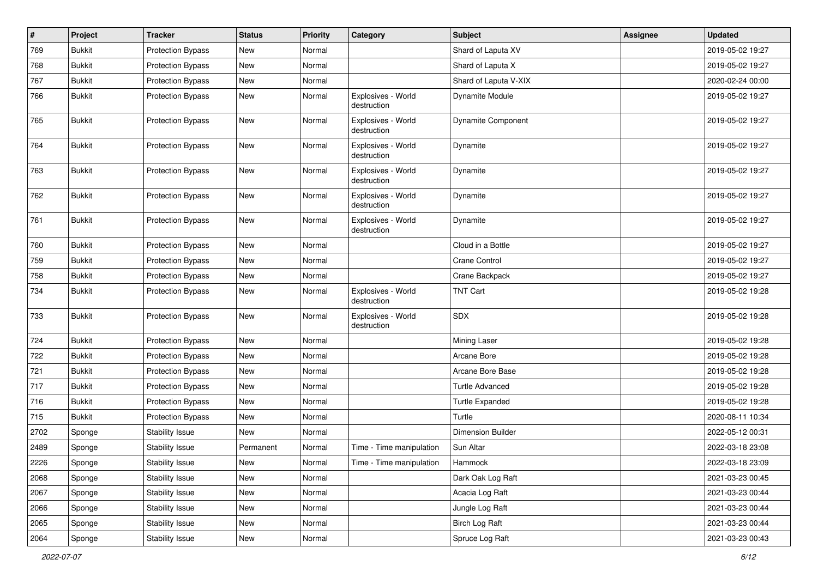| #    | Project       | <b>Tracker</b>           | <b>Status</b> | Priority | Category                          | <b>Subject</b>            | <b>Assignee</b> | <b>Updated</b>   |
|------|---------------|--------------------------|---------------|----------|-----------------------------------|---------------------------|-----------------|------------------|
| 769  | <b>Bukkit</b> | <b>Protection Bypass</b> | New           | Normal   |                                   | Shard of Laputa XV        |                 | 2019-05-02 19:27 |
| 768  | <b>Bukkit</b> | Protection Bypass        | New           | Normal   |                                   | Shard of Laputa X         |                 | 2019-05-02 19:27 |
| 767  | <b>Bukkit</b> | <b>Protection Bypass</b> | New           | Normal   |                                   | Shard of Laputa V-XIX     |                 | 2020-02-24 00:00 |
| 766  | <b>Bukkit</b> | <b>Protection Bypass</b> | New           | Normal   | Explosives - World<br>destruction | <b>Dynamite Module</b>    |                 | 2019-05-02 19:27 |
| 765  | <b>Bukkit</b> | <b>Protection Bypass</b> | New           | Normal   | Explosives - World<br>destruction | <b>Dynamite Component</b> |                 | 2019-05-02 19:27 |
| 764  | <b>Bukkit</b> | <b>Protection Bypass</b> | New           | Normal   | Explosives - World<br>destruction | Dynamite                  |                 | 2019-05-02 19:27 |
| 763  | <b>Bukkit</b> | <b>Protection Bypass</b> | New           | Normal   | Explosives - World<br>destruction | Dynamite                  |                 | 2019-05-02 19:27 |
| 762  | <b>Bukkit</b> | <b>Protection Bypass</b> | New           | Normal   | Explosives - World<br>destruction | Dynamite                  |                 | 2019-05-02 19:27 |
| 761  | <b>Bukkit</b> | <b>Protection Bypass</b> | New           | Normal   | Explosives - World<br>destruction | Dynamite                  |                 | 2019-05-02 19:27 |
| 760  | <b>Bukkit</b> | <b>Protection Bypass</b> | New           | Normal   |                                   | Cloud in a Bottle         |                 | 2019-05-02 19:27 |
| 759  | <b>Bukkit</b> | <b>Protection Bypass</b> | New           | Normal   |                                   | <b>Crane Control</b>      |                 | 2019-05-02 19:27 |
| 758  | <b>Bukkit</b> | <b>Protection Bypass</b> | New           | Normal   |                                   | Crane Backpack            |                 | 2019-05-02 19:27 |
| 734  | <b>Bukkit</b> | <b>Protection Bypass</b> | New           | Normal   | Explosives - World<br>destruction | <b>TNT Cart</b>           |                 | 2019-05-02 19:28 |
| 733  | <b>Bukkit</b> | <b>Protection Bypass</b> | New           | Normal   | Explosives - World<br>destruction | <b>SDX</b>                |                 | 2019-05-02 19:28 |
| 724  | <b>Bukkit</b> | <b>Protection Bypass</b> | New           | Normal   |                                   | Mining Laser              |                 | 2019-05-02 19:28 |
| 722  | <b>Bukkit</b> | <b>Protection Bypass</b> | New           | Normal   |                                   | Arcane Bore               |                 | 2019-05-02 19:28 |
| 721  | <b>Bukkit</b> | <b>Protection Bypass</b> | New           | Normal   |                                   | Arcane Bore Base          |                 | 2019-05-02 19:28 |
| 717  | <b>Bukkit</b> | <b>Protection Bypass</b> | New           | Normal   |                                   | <b>Turtle Advanced</b>    |                 | 2019-05-02 19:28 |
| 716  | <b>Bukkit</b> | <b>Protection Bypass</b> | New           | Normal   |                                   | <b>Turtle Expanded</b>    |                 | 2019-05-02 19:28 |
| 715  | <b>Bukkit</b> | <b>Protection Bypass</b> | New           | Normal   |                                   | Turtle                    |                 | 2020-08-11 10:34 |
| 2702 | Sponge        | Stability Issue          | New           | Normal   |                                   | <b>Dimension Builder</b>  |                 | 2022-05-12 00:31 |
| 2489 | Sponge        | <b>Stability Issue</b>   | Permanent     | Normal   | Time - Time manipulation          | Sun Altar                 |                 | 2022-03-18 23:08 |
| 2226 | Sponge        | <b>Stability Issue</b>   | New           | Normal   | Time - Time manipulation          | Hammock                   |                 | 2022-03-18 23:09 |
| 2068 | Sponge        | <b>Stability Issue</b>   | New           | Normal   |                                   | Dark Oak Log Raft         |                 | 2021-03-23 00:45 |
| 2067 | Sponge        | Stability Issue          | New           | Normal   |                                   | Acacia Log Raft           |                 | 2021-03-23 00:44 |
| 2066 | Sponge        | <b>Stability Issue</b>   | New           | Normal   |                                   | Jungle Log Raft           |                 | 2021-03-23 00:44 |
| 2065 | Sponge        | Stability Issue          | New           | Normal   |                                   | <b>Birch Log Raft</b>     |                 | 2021-03-23 00:44 |
| 2064 | Sponge        | <b>Stability Issue</b>   | New           | Normal   |                                   | Spruce Log Raft           |                 | 2021-03-23 00:43 |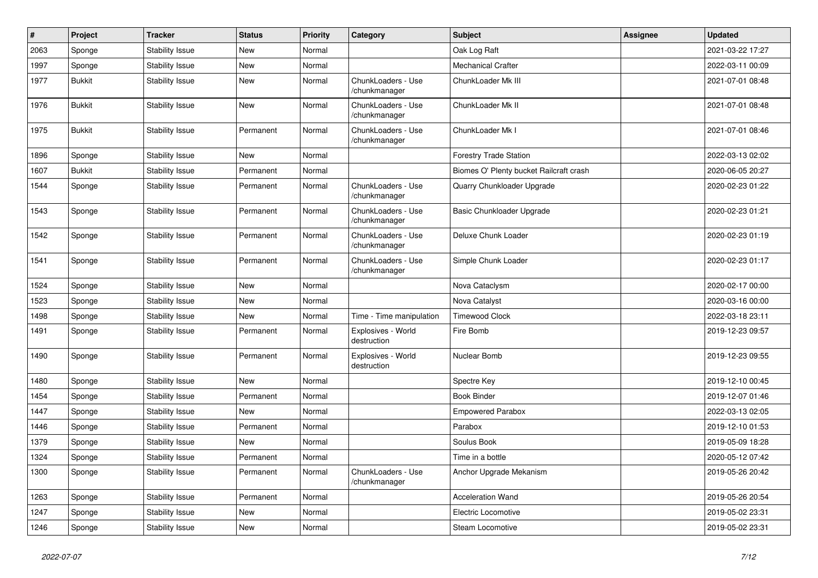| $\pmb{\#}$ | Project       | <b>Tracker</b>         | <b>Status</b> | <b>Priority</b> | Category                            | <b>Subject</b>                          | <b>Assignee</b> | <b>Updated</b>   |
|------------|---------------|------------------------|---------------|-----------------|-------------------------------------|-----------------------------------------|-----------------|------------------|
| 2063       | Sponge        | <b>Stability Issue</b> | <b>New</b>    | Normal          |                                     | Oak Log Raft                            |                 | 2021-03-22 17:27 |
| 1997       | Sponge        | <b>Stability Issue</b> | New           | Normal          |                                     | <b>Mechanical Crafter</b>               |                 | 2022-03-11 00:09 |
| 1977       | <b>Bukkit</b> | <b>Stability Issue</b> | New           | Normal          | ChunkLoaders - Use<br>/chunkmanager | ChunkLoader Mk III                      |                 | 2021-07-01 08:48 |
| 1976       | <b>Bukkit</b> | <b>Stability Issue</b> | New           | Normal          | ChunkLoaders - Use<br>/chunkmanager | ChunkLoader Mk II                       |                 | 2021-07-01 08:48 |
| 1975       | <b>Bukkit</b> | <b>Stability Issue</b> | Permanent     | Normal          | ChunkLoaders - Use<br>/chunkmanager | ChunkLoader Mk I                        |                 | 2021-07-01 08:46 |
| 1896       | Sponge        | <b>Stability Issue</b> | New           | Normal          |                                     | <b>Forestry Trade Station</b>           |                 | 2022-03-13 02:02 |
| 1607       | <b>Bukkit</b> | <b>Stability Issue</b> | Permanent     | Normal          |                                     | Biomes O' Plenty bucket Railcraft crash |                 | 2020-06-05 20:27 |
| 1544       | Sponge        | <b>Stability Issue</b> | Permanent     | Normal          | ChunkLoaders - Use<br>/chunkmanager | Quarry Chunkloader Upgrade              |                 | 2020-02-23 01:22 |
| 1543       | Sponge        | <b>Stability Issue</b> | Permanent     | Normal          | ChunkLoaders - Use<br>/chunkmanager | Basic Chunkloader Upgrade               |                 | 2020-02-23 01:21 |
| 1542       | Sponge        | <b>Stability Issue</b> | Permanent     | Normal          | ChunkLoaders - Use<br>/chunkmanager | Deluxe Chunk Loader                     |                 | 2020-02-23 01:19 |
| 1541       | Sponge        | <b>Stability Issue</b> | Permanent     | Normal          | ChunkLoaders - Use<br>/chunkmanager | Simple Chunk Loader                     |                 | 2020-02-23 01:17 |
| 1524       | Sponge        | <b>Stability Issue</b> | New           | Normal          |                                     | Nova Cataclysm                          |                 | 2020-02-17 00:00 |
| 1523       | Sponge        | <b>Stability Issue</b> | New           | Normal          |                                     | Nova Catalyst                           |                 | 2020-03-16 00:00 |
| 1498       | Sponge        | <b>Stability Issue</b> | <b>New</b>    | Normal          | Time - Time manipulation            | <b>Timewood Clock</b>                   |                 | 2022-03-18 23:11 |
| 1491       | Sponge        | <b>Stability Issue</b> | Permanent     | Normal          | Explosives - World<br>destruction   | Fire Bomb                               |                 | 2019-12-23 09:57 |
| 1490       | Sponge        | <b>Stability Issue</b> | Permanent     | Normal          | Explosives - World<br>destruction   | Nuclear Bomb                            |                 | 2019-12-23 09:55 |
| 1480       | Sponge        | <b>Stability Issue</b> | New           | Normal          |                                     | Spectre Key                             |                 | 2019-12-10 00:45 |
| 1454       | Sponge        | <b>Stability Issue</b> | Permanent     | Normal          |                                     | <b>Book Binder</b>                      |                 | 2019-12-07 01:46 |
| 1447       | Sponge        | <b>Stability Issue</b> | New           | Normal          |                                     | <b>Empowered Parabox</b>                |                 | 2022-03-13 02:05 |
| 1446       | Sponge        | <b>Stability Issue</b> | Permanent     | Normal          |                                     | Parabox                                 |                 | 2019-12-10 01:53 |
| 1379       | Sponge        | <b>Stability Issue</b> | New           | Normal          |                                     | Soulus Book                             |                 | 2019-05-09 18:28 |
| 1324       | Sponge        | <b>Stability Issue</b> | Permanent     | Normal          |                                     | Time in a bottle                        |                 | 2020-05-12 07:42 |
| 1300       | Sponge        | <b>Stability Issue</b> | Permanent     | Normal          | ChunkLoaders - Use<br>/chunkmanager | Anchor Upgrade Mekanism                 |                 | 2019-05-26 20:42 |
| 1263       | Sponge        | <b>Stability Issue</b> | Permanent     | Normal          |                                     | <b>Acceleration Wand</b>                |                 | 2019-05-26 20:54 |
| 1247       | Sponge        | <b>Stability Issue</b> | New           | Normal          |                                     | Electric Locomotive                     |                 | 2019-05-02 23:31 |
| 1246       | Sponge        | Stability Issue        | New           | Normal          |                                     | Steam Locomotive                        |                 | 2019-05-02 23:31 |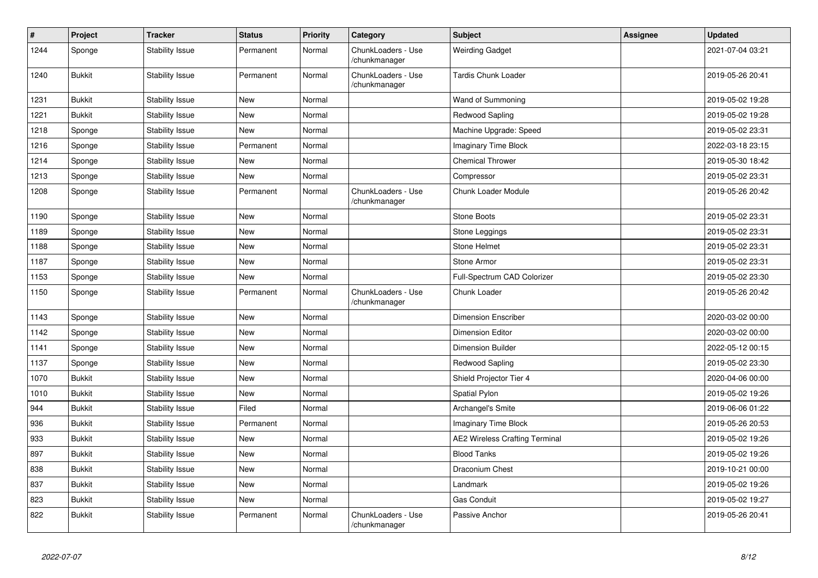| $\pmb{\#}$ | Project       | <b>Tracker</b>         | <b>Status</b> | <b>Priority</b> | Category                            | <b>Subject</b>                        | <b>Assignee</b> | <b>Updated</b>   |
|------------|---------------|------------------------|---------------|-----------------|-------------------------------------|---------------------------------------|-----------------|------------------|
| 1244       | Sponge        | <b>Stability Issue</b> | Permanent     | Normal          | ChunkLoaders - Use<br>/chunkmanager | <b>Weirding Gadget</b>                |                 | 2021-07-04 03:21 |
| 1240       | <b>Bukkit</b> | <b>Stability Issue</b> | Permanent     | Normal          | ChunkLoaders - Use<br>/chunkmanager | <b>Tardis Chunk Loader</b>            |                 | 2019-05-26 20:41 |
| 1231       | <b>Bukkit</b> | Stability Issue        | <b>New</b>    | Normal          |                                     | Wand of Summoning                     |                 | 2019-05-02 19:28 |
| 1221       | <b>Bukkit</b> | <b>Stability Issue</b> | New           | Normal          |                                     | Redwood Sapling                       |                 | 2019-05-02 19:28 |
| 1218       | Sponge        | <b>Stability Issue</b> | New           | Normal          |                                     | Machine Upgrade: Speed                |                 | 2019-05-02 23:31 |
| 1216       | Sponge        | Stability Issue        | Permanent     | Normal          |                                     | Imaginary Time Block                  |                 | 2022-03-18 23:15 |
| 1214       | Sponge        | <b>Stability Issue</b> | New           | Normal          |                                     | <b>Chemical Thrower</b>               |                 | 2019-05-30 18:42 |
| 1213       | Sponge        | <b>Stability Issue</b> | New           | Normal          |                                     | Compressor                            |                 | 2019-05-02 23:31 |
| 1208       | Sponge        | Stability Issue        | Permanent     | Normal          | ChunkLoaders - Use<br>/chunkmanager | Chunk Loader Module                   |                 | 2019-05-26 20:42 |
| 1190       | Sponge        | <b>Stability Issue</b> | New           | Normal          |                                     | Stone Boots                           |                 | 2019-05-02 23:31 |
| 1189       | Sponge        | <b>Stability Issue</b> | New           | Normal          |                                     | Stone Leggings                        |                 | 2019-05-02 23:31 |
| 1188       | Sponge        | <b>Stability Issue</b> | New           | Normal          |                                     | Stone Helmet                          |                 | 2019-05-02 23:31 |
| 1187       | Sponge        | <b>Stability Issue</b> | New           | Normal          |                                     | Stone Armor                           |                 | 2019-05-02 23:31 |
| 1153       | Sponge        | <b>Stability Issue</b> | New           | Normal          |                                     | Full-Spectrum CAD Colorizer           |                 | 2019-05-02 23:30 |
| 1150       | Sponge        | <b>Stability Issue</b> | Permanent     | Normal          | ChunkLoaders - Use<br>/chunkmanager | Chunk Loader                          |                 | 2019-05-26 20:42 |
| 1143       | Sponge        | <b>Stability Issue</b> | New           | Normal          |                                     | <b>Dimension Enscriber</b>            |                 | 2020-03-02 00:00 |
| 1142       | Sponge        | <b>Stability Issue</b> | New           | Normal          |                                     | <b>Dimension Editor</b>               |                 | 2020-03-02 00:00 |
| 1141       | Sponge        | <b>Stability Issue</b> | New           | Normal          |                                     | <b>Dimension Builder</b>              |                 | 2022-05-12 00:15 |
| 1137       | Sponge        | <b>Stability Issue</b> | New           | Normal          |                                     | Redwood Sapling                       |                 | 2019-05-02 23:30 |
| 1070       | <b>Bukkit</b> | <b>Stability Issue</b> | New           | Normal          |                                     | Shield Projector Tier 4               |                 | 2020-04-06 00:00 |
| 1010       | <b>Bukkit</b> | <b>Stability Issue</b> | New           | Normal          |                                     | Spatial Pylon                         |                 | 2019-05-02 19:26 |
| 944        | <b>Bukkit</b> | <b>Stability Issue</b> | Filed         | Normal          |                                     | Archangel's Smite                     |                 | 2019-06-06 01:22 |
| 936        | <b>Bukkit</b> | <b>Stability Issue</b> | Permanent     | Normal          |                                     | Imaginary Time Block                  |                 | 2019-05-26 20:53 |
| 933        | <b>Bukkit</b> | <b>Stability Issue</b> | New           | Normal          |                                     | <b>AE2 Wireless Crafting Terminal</b> |                 | 2019-05-02 19:26 |
| 897        | <b>Bukkit</b> | <b>Stability Issue</b> | New           | Normal          |                                     | <b>Blood Tanks</b>                    |                 | 2019-05-02 19:26 |
| 838        | <b>Bukkit</b> | <b>Stability Issue</b> | New           | Normal          |                                     | Draconium Chest                       |                 | 2019-10-21 00:00 |
| 837        | <b>Bukkit</b> | <b>Stability Issue</b> | New           | Normal          |                                     | Landmark                              |                 | 2019-05-02 19:26 |
| 823        | <b>Bukkit</b> | <b>Stability Issue</b> | New           | Normal          |                                     | Gas Conduit                           |                 | 2019-05-02 19:27 |
| 822        | <b>Bukkit</b> | <b>Stability Issue</b> | Permanent     | Normal          | ChunkLoaders - Use<br>/chunkmanager | Passive Anchor                        |                 | 2019-05-26 20:41 |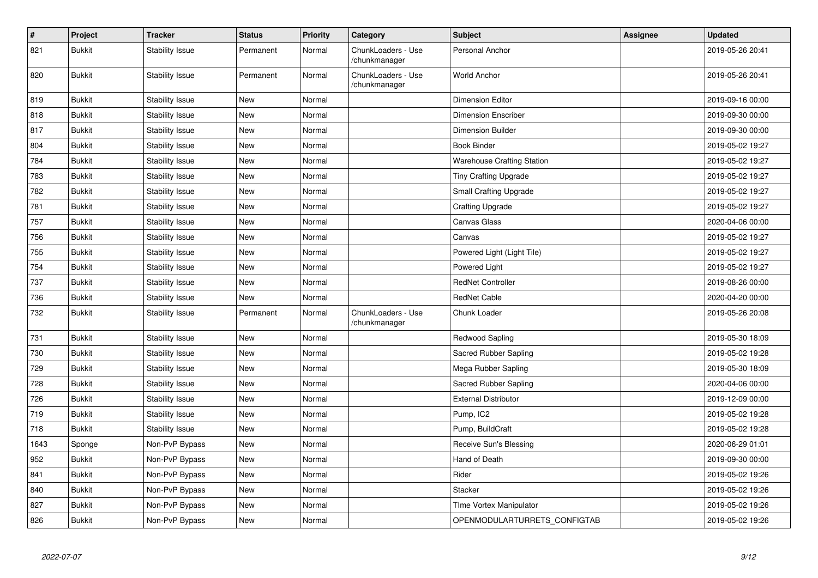| $\pmb{\#}$ | Project       | <b>Tracker</b>         | <b>Status</b> | <b>Priority</b> | Category                            | <b>Subject</b>                    | Assignee | <b>Updated</b>   |
|------------|---------------|------------------------|---------------|-----------------|-------------------------------------|-----------------------------------|----------|------------------|
| 821        | <b>Bukkit</b> | <b>Stability Issue</b> | Permanent     | Normal          | ChunkLoaders - Use<br>/chunkmanager | Personal Anchor                   |          | 2019-05-26 20:41 |
| 820        | <b>Bukkit</b> | <b>Stability Issue</b> | Permanent     | Normal          | ChunkLoaders - Use<br>/chunkmanager | <b>World Anchor</b>               |          | 2019-05-26 20:41 |
| 819        | <b>Bukkit</b> | <b>Stability Issue</b> | New           | Normal          |                                     | <b>Dimension Editor</b>           |          | 2019-09-16 00:00 |
| 818        | <b>Bukkit</b> | <b>Stability Issue</b> | New           | Normal          |                                     | <b>Dimension Enscriber</b>        |          | 2019-09-30 00:00 |
| 817        | <b>Bukkit</b> | <b>Stability Issue</b> | New           | Normal          |                                     | <b>Dimension Builder</b>          |          | 2019-09-30 00:00 |
| 804        | <b>Bukkit</b> | <b>Stability Issue</b> | New           | Normal          |                                     | <b>Book Binder</b>                |          | 2019-05-02 19:27 |
| 784        | <b>Bukkit</b> | <b>Stability Issue</b> | New           | Normal          |                                     | <b>Warehouse Crafting Station</b> |          | 2019-05-02 19:27 |
| 783        | <b>Bukkit</b> | <b>Stability Issue</b> | New           | Normal          |                                     | <b>Tiny Crafting Upgrade</b>      |          | 2019-05-02 19:27 |
| 782        | <b>Bukkit</b> | <b>Stability Issue</b> | New           | Normal          |                                     | <b>Small Crafting Upgrade</b>     |          | 2019-05-02 19:27 |
| 781        | <b>Bukkit</b> | <b>Stability Issue</b> | New           | Normal          |                                     | <b>Crafting Upgrade</b>           |          | 2019-05-02 19:27 |
| 757        | <b>Bukkit</b> | <b>Stability Issue</b> | New           | Normal          |                                     | Canvas Glass                      |          | 2020-04-06 00:00 |
| 756        | <b>Bukkit</b> | <b>Stability Issue</b> | New           | Normal          |                                     | Canvas                            |          | 2019-05-02 19:27 |
| 755        | <b>Bukkit</b> | <b>Stability Issue</b> | <b>New</b>    | Normal          |                                     | Powered Light (Light Tile)        |          | 2019-05-02 19:27 |
| 754        | <b>Bukkit</b> | <b>Stability Issue</b> | New           | Normal          |                                     | Powered Light                     |          | 2019-05-02 19:27 |
| 737        | <b>Bukkit</b> | <b>Stability Issue</b> | New           | Normal          |                                     | <b>RedNet Controller</b>          |          | 2019-08-26 00:00 |
| 736        | <b>Bukkit</b> | <b>Stability Issue</b> | New           | Normal          |                                     | <b>RedNet Cable</b>               |          | 2020-04-20 00:00 |
| 732        | <b>Bukkit</b> | <b>Stability Issue</b> | Permanent     | Normal          | ChunkLoaders - Use<br>/chunkmanager | Chunk Loader                      |          | 2019-05-26 20:08 |
| 731        | <b>Bukkit</b> | <b>Stability Issue</b> | New           | Normal          |                                     | <b>Redwood Sapling</b>            |          | 2019-05-30 18:09 |
| 730        | <b>Bukkit</b> | <b>Stability Issue</b> | New           | Normal          |                                     | Sacred Rubber Sapling             |          | 2019-05-02 19:28 |
| 729        | <b>Bukkit</b> | <b>Stability Issue</b> | New           | Normal          |                                     | Mega Rubber Sapling               |          | 2019-05-30 18:09 |
| 728        | <b>Bukkit</b> | <b>Stability Issue</b> | New           | Normal          |                                     | Sacred Rubber Sapling             |          | 2020-04-06 00:00 |
| 726        | <b>Bukkit</b> | <b>Stability Issue</b> | New           | Normal          |                                     | <b>External Distributor</b>       |          | 2019-12-09 00:00 |
| 719        | <b>Bukkit</b> | <b>Stability Issue</b> | New           | Normal          |                                     | Pump, IC2                         |          | 2019-05-02 19:28 |
| 718        | <b>Bukkit</b> | <b>Stability Issue</b> | New           | Normal          |                                     | Pump, BuildCraft                  |          | 2019-05-02 19:28 |
| 1643       | Sponge        | Non-PvP Bypass         | New           | Normal          |                                     | Receive Sun's Blessing            |          | 2020-06-29 01:01 |
| 952        | <b>Bukkit</b> | Non-PvP Bypass         | New           | Normal          |                                     | Hand of Death                     |          | 2019-09-30 00:00 |
| 841        | <b>Bukkit</b> | Non-PvP Bypass         | New           | Normal          |                                     | Rider                             |          | 2019-05-02 19:26 |
| 840        | <b>Bukkit</b> | Non-PvP Bypass         | New           | Normal          |                                     | <b>Stacker</b>                    |          | 2019-05-02 19:26 |
| 827        | <b>Bukkit</b> | Non-PvP Bypass         | New           | Normal          |                                     | TIme Vortex Manipulator           |          | 2019-05-02 19:26 |
| 826        | <b>Bukkit</b> | Non-PvP Bypass         | New           | Normal          |                                     | OPENMODULARTURRETS CONFIGTAB      |          | 2019-05-02 19:26 |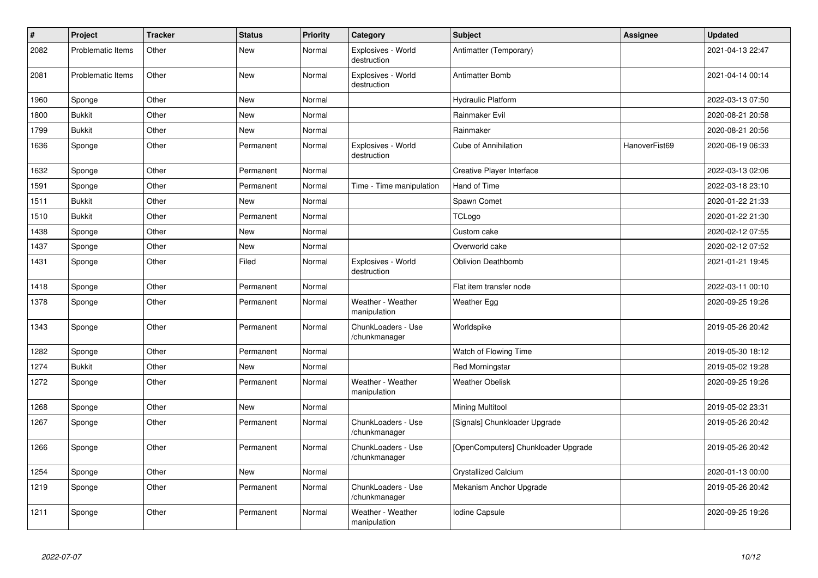| $\vert$ # | Project           | <b>Tracker</b> | <b>Status</b> | <b>Priority</b> | Category                            | <b>Subject</b>                      | Assignee      | <b>Updated</b>   |
|-----------|-------------------|----------------|---------------|-----------------|-------------------------------------|-------------------------------------|---------------|------------------|
| 2082      | Problematic Items | Other          | New           | Normal          | Explosives - World<br>destruction   | Antimatter (Temporary)              |               | 2021-04-13 22:47 |
| 2081      | Problematic Items | Other          | <b>New</b>    | Normal          | Explosives - World<br>destruction   | <b>Antimatter Bomb</b>              |               | 2021-04-14 00:14 |
| 1960      | Sponge            | Other          | <b>New</b>    | Normal          |                                     | <b>Hydraulic Platform</b>           |               | 2022-03-13 07:50 |
| 1800      | <b>Bukkit</b>     | Other          | New           | Normal          |                                     | Rainmaker Evil                      |               | 2020-08-21 20:58 |
| 1799      | <b>Bukkit</b>     | Other          | <b>New</b>    | Normal          |                                     | Rainmaker                           |               | 2020-08-21 20:56 |
| 1636      | Sponge            | Other          | Permanent     | Normal          | Explosives - World<br>destruction   | Cube of Annihilation                | HanoverFist69 | 2020-06-19 06:33 |
| 1632      | Sponge            | Other          | Permanent     | Normal          |                                     | Creative Player Interface           |               | 2022-03-13 02:06 |
| 1591      | Sponge            | Other          | Permanent     | Normal          | Time - Time manipulation            | Hand of Time                        |               | 2022-03-18 23:10 |
| 1511      | <b>Bukkit</b>     | Other          | <b>New</b>    | Normal          |                                     | Spawn Comet                         |               | 2020-01-22 21:33 |
| 1510      | <b>Bukkit</b>     | Other          | Permanent     | Normal          |                                     | TCLogo                              |               | 2020-01-22 21:30 |
| 1438      | Sponge            | Other          | New           | Normal          |                                     | Custom cake                         |               | 2020-02-12 07:55 |
| 1437      | Sponge            | Other          | New           | Normal          |                                     | Overworld cake                      |               | 2020-02-12 07:52 |
| 1431      | Sponge            | Other          | Filed         | Normal          | Explosives - World<br>destruction   | <b>Oblivion Deathbomb</b>           |               | 2021-01-21 19:45 |
| 1418      | Sponge            | Other          | Permanent     | Normal          |                                     | Flat item transfer node             |               | 2022-03-11 00:10 |
| 1378      | Sponge            | Other          | Permanent     | Normal          | Weather - Weather<br>manipulation   | <b>Weather Egg</b>                  |               | 2020-09-25 19:26 |
| 1343      | Sponge            | Other          | Permanent     | Normal          | ChunkLoaders - Use<br>/chunkmanager | Worldspike                          |               | 2019-05-26 20:42 |
| 1282      | Sponge            | Other          | Permanent     | Normal          |                                     | Watch of Flowing Time               |               | 2019-05-30 18:12 |
| 1274      | <b>Bukkit</b>     | Other          | <b>New</b>    | Normal          |                                     | <b>Red Morningstar</b>              |               | 2019-05-02 19:28 |
| 1272      | Sponge            | Other          | Permanent     | Normal          | Weather - Weather<br>manipulation   | <b>Weather Obelisk</b>              |               | 2020-09-25 19:26 |
| 1268      | Sponge            | Other          | <b>New</b>    | Normal          |                                     | Mining Multitool                    |               | 2019-05-02 23:31 |
| 1267      | Sponge            | Other          | Permanent     | Normal          | ChunkLoaders - Use<br>/chunkmanager | [Signals] Chunkloader Upgrade       |               | 2019-05-26 20:42 |
| 1266      | Sponge            | Other          | Permanent     | Normal          | ChunkLoaders - Use<br>/chunkmanager | [OpenComputers] Chunkloader Upgrade |               | 2019-05-26 20:42 |
| 1254      | Sponge            | Other          | <b>New</b>    | Normal          |                                     | <b>Crystallized Calcium</b>         |               | 2020-01-13 00:00 |
| 1219      | Sponge            | Other          | Permanent     | Normal          | ChunkLoaders - Use<br>/chunkmanager | Mekanism Anchor Upgrade             |               | 2019-05-26 20:42 |
| 1211      | Sponge            | Other          | Permanent     | Normal          | Weather - Weather<br>manipulation   | Iodine Capsule                      |               | 2020-09-25 19:26 |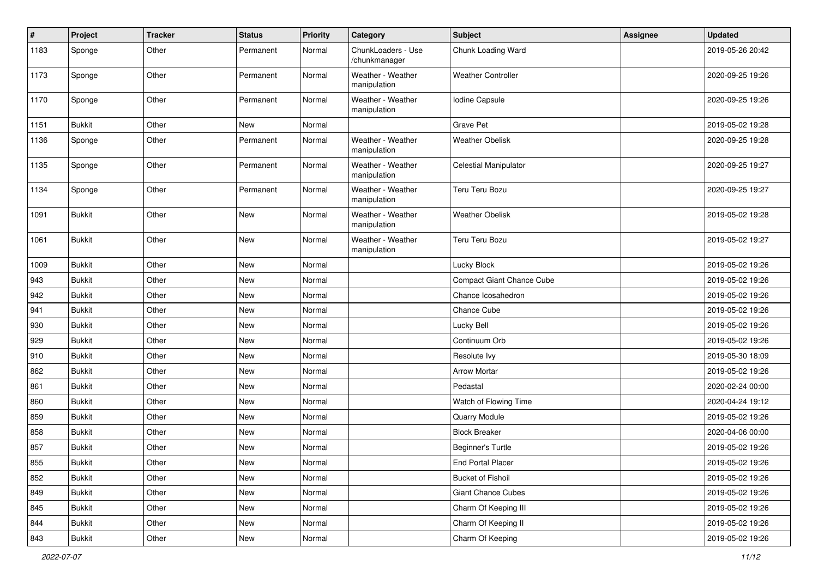| #    | Project       | <b>Tracker</b> | <b>Status</b> | <b>Priority</b> | Category                            | <b>Subject</b>                   | <b>Assignee</b> | <b>Updated</b>   |
|------|---------------|----------------|---------------|-----------------|-------------------------------------|----------------------------------|-----------------|------------------|
| 1183 | Sponge        | Other          | Permanent     | Normal          | ChunkLoaders - Use<br>/chunkmanager | Chunk Loading Ward               |                 | 2019-05-26 20:42 |
| 1173 | Sponge        | Other          | Permanent     | Normal          | Weather - Weather<br>manipulation   | <b>Weather Controller</b>        |                 | 2020-09-25 19:26 |
| 1170 | Sponge        | Other          | Permanent     | Normal          | Weather - Weather<br>manipulation   | Iodine Capsule                   |                 | 2020-09-25 19:26 |
| 1151 | <b>Bukkit</b> | Other          | <b>New</b>    | Normal          |                                     | <b>Grave Pet</b>                 |                 | 2019-05-02 19:28 |
| 1136 | Sponge        | Other          | Permanent     | Normal          | Weather - Weather<br>manipulation   | <b>Weather Obelisk</b>           |                 | 2020-09-25 19:28 |
| 1135 | Sponge        | Other          | Permanent     | Normal          | Weather - Weather<br>manipulation   | <b>Celestial Manipulator</b>     |                 | 2020-09-25 19:27 |
| 1134 | Sponge        | Other          | Permanent     | Normal          | Weather - Weather<br>manipulation   | Teru Teru Bozu                   |                 | 2020-09-25 19:27 |
| 1091 | <b>Bukkit</b> | Other          | <b>New</b>    | Normal          | Weather - Weather<br>manipulation   | <b>Weather Obelisk</b>           |                 | 2019-05-02 19:28 |
| 1061 | <b>Bukkit</b> | Other          | <b>New</b>    | Normal          | Weather - Weather<br>manipulation   | Teru Teru Bozu                   |                 | 2019-05-02 19:27 |
| 1009 | <b>Bukkit</b> | Other          | <b>New</b>    | Normal          |                                     | Lucky Block                      |                 | 2019-05-02 19:26 |
| 943  | <b>Bukkit</b> | Other          | New           | Normal          |                                     | <b>Compact Giant Chance Cube</b> |                 | 2019-05-02 19:26 |
| 942  | <b>Bukkit</b> | Other          | New           | Normal          |                                     | Chance Icosahedron               |                 | 2019-05-02 19:26 |
| 941  | <b>Bukkit</b> | Other          | New           | Normal          |                                     | Chance Cube                      |                 | 2019-05-02 19:26 |
| 930  | <b>Bukkit</b> | Other          | New           | Normal          |                                     | Lucky Bell                       |                 | 2019-05-02 19:26 |
| 929  | <b>Bukkit</b> | Other          | New           | Normal          |                                     | Continuum Orb                    |                 | 2019-05-02 19:26 |
| 910  | <b>Bukkit</b> | Other          | <b>New</b>    | Normal          |                                     | Resolute Ivy                     |                 | 2019-05-30 18:09 |
| 862  | <b>Bukkit</b> | Other          | New           | Normal          |                                     | <b>Arrow Mortar</b>              |                 | 2019-05-02 19:26 |
| 861  | <b>Bukkit</b> | Other          | <b>New</b>    | Normal          |                                     | Pedastal                         |                 | 2020-02-24 00:00 |
| 860  | <b>Bukkit</b> | Other          | New           | Normal          |                                     | Watch of Flowing Time            |                 | 2020-04-24 19:12 |
| 859  | <b>Bukkit</b> | Other          | New           | Normal          |                                     | Quarry Module                    |                 | 2019-05-02 19:26 |
| 858  | <b>Bukkit</b> | Other          | <b>New</b>    | Normal          |                                     | <b>Block Breaker</b>             |                 | 2020-04-06 00:00 |
| 857  | <b>Bukkit</b> | Other          | New           | Normal          |                                     | Beginner's Turtle                |                 | 2019-05-02 19:26 |
| 855  | <b>Bukkit</b> | Other          | New           | Normal          |                                     | End Portal Placer                |                 | 2019-05-02 19:26 |
| 852  | Bukkit        | Other          | New           | Normal          |                                     | <b>Bucket of Fishoil</b>         |                 | 2019-05-02 19:26 |
| 849  | Bukkit        | Other          | New           | Normal          |                                     | <b>Giant Chance Cubes</b>        |                 | 2019-05-02 19:26 |
| 845  | Bukkit        | Other          | New           | Normal          |                                     | Charm Of Keeping III             |                 | 2019-05-02 19:26 |
| 844  | Bukkit        | Other          | New           | Normal          |                                     | Charm Of Keeping II              |                 | 2019-05-02 19:26 |
| 843  | <b>Bukkit</b> | Other          | New           | Normal          |                                     | Charm Of Keeping                 |                 | 2019-05-02 19:26 |